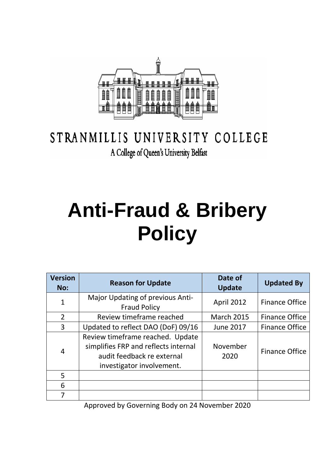

# STRANMILLIS UNIVERSITY COLLEGE A College of Queen's University Belfast

# **Anti-Fraud & Bribery Policy**

| <b>Version</b><br>No: | <b>Reason for Update</b>                                                                                                            | Date of<br><b>Update</b> | <b>Updated By</b>     |
|-----------------------|-------------------------------------------------------------------------------------------------------------------------------------|--------------------------|-----------------------|
| $\overline{1}$        | Major Updating of previous Anti-<br><b>Fraud Policy</b>                                                                             | <b>April 2012</b>        | <b>Finance Office</b> |
| $\overline{2}$        | Review timeframe reached                                                                                                            | <b>March 2015</b>        | <b>Finance Office</b> |
| 3                     | Updated to reflect DAO (DoF) 09/16                                                                                                  | <b>June 2017</b>         | <b>Finance Office</b> |
| 4                     | Review timeframe reached. Update<br>simplifies FRP and reflects internal<br>audit feedback re external<br>investigator involvement. | November<br>2020         | <b>Finance Office</b> |
| 5                     |                                                                                                                                     |                          |                       |
| 6                     |                                                                                                                                     |                          |                       |
| 7                     |                                                                                                                                     |                          |                       |

Approved by Governing Body on 24 November 2020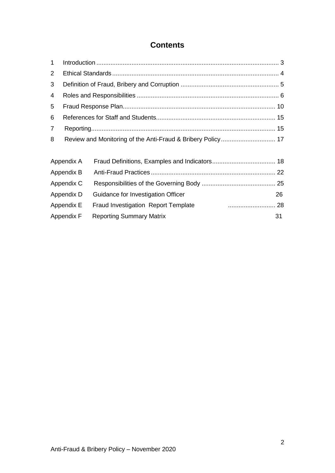## **Contents**

| 1          |            |                                                             |    |  |  |
|------------|------------|-------------------------------------------------------------|----|--|--|
| 2          |            |                                                             |    |  |  |
| 3          |            |                                                             |    |  |  |
| 4          |            |                                                             |    |  |  |
| 5          |            |                                                             |    |  |  |
| 6          |            |                                                             |    |  |  |
| 7          |            |                                                             |    |  |  |
| 8          |            | Review and Monitoring of the Anti-Fraud & Bribery Policy 17 |    |  |  |
|            | Appendix A |                                                             |    |  |  |
|            | Appendix B |                                                             |    |  |  |
| Appendix C |            |                                                             |    |  |  |
|            | Appendix D | Guidance for Investigation Officer                          | 26 |  |  |
| Appendix E |            | <b>Fraud Investigation Report Template</b>                  |    |  |  |
| Appendix F |            | <b>Reporting Summary Matrix</b>                             | 31 |  |  |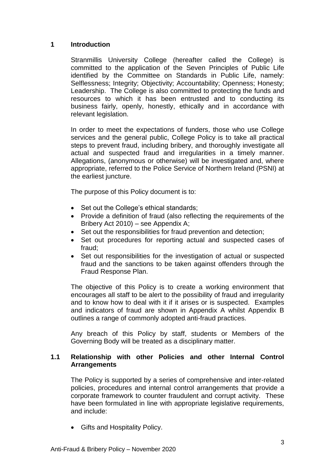#### <span id="page-2-0"></span>**1 Introduction**

Stranmillis University College (hereafter called the College) is committed to the application of the Seven Principles of Public Life identified by the Committee on Standards in Public Life, namely: Selflessness; Integrity; Objectivity; Accountability; Openness; Honesty; Leadership. The College is also committed to protecting the funds and resources to which it has been entrusted and to conducting its business fairly, openly, honestly, ethically and in accordance with relevant legislation.

In order to meet the expectations of funders, those who use College services and the general public, College Policy is to take all practical steps to prevent fraud, including bribery, and thoroughly investigate all actual and suspected fraud and irregularities in a timely manner. Allegations, (anonymous or otherwise) will be investigated and, where appropriate, referred to the Police Service of Northern Ireland (PSNI) at the earliest juncture.

The purpose of this Policy document is to:

- Set out the College's ethical standards;
- Provide a definition of fraud (also reflecting the requirements of the Bribery Act 2010) – see Appendix A;
- Set out the responsibilities for fraud prevention and detection;
- Set out procedures for reporting actual and suspected cases of fraud;
- Set out responsibilities for the investigation of actual or suspected fraud and the sanctions to be taken against offenders through the Fraud Response Plan.

The objective of this Policy is to create a working environment that encourages all staff to be alert to the possibility of fraud and irregularity and to know how to deal with it if it arises or is suspected. Examples and indicators of fraud are shown in Appendix A whilst Appendix B outlines a range of commonly adopted anti-fraud practices.

Any breach of this Policy by staff, students or Members of the Governing Body will be treated as a disciplinary matter.

#### **1.1 Relationship with other Policies and other Internal Control Arrangements**

The Policy is supported by a series of comprehensive and inter-related policies, procedures and internal control arrangements that provide a corporate framework to counter fraudulent and corrupt activity. These have been formulated in line with appropriate legislative requirements, and include:

• Gifts and Hospitality Policy.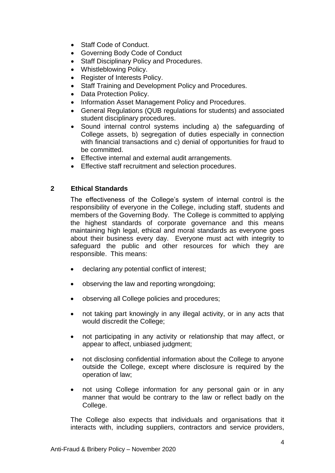- Staff Code of Conduct.
- Governing Body Code of Conduct
- Staff Disciplinary Policy and Procedures.
- Whistleblowing Policy.
- Register of Interests Policy.
- Staff Training and Development Policy and Procedures.
- Data Protection Policy.
- Information Asset Management Policy and Procedures.
- General Regulations (QUB regulations for students) and associated student disciplinary procedures.
- Sound internal control systems including a) the safeguarding of College assets, b) segregation of duties especially in connection with financial transactions and c) denial of opportunities for fraud to be committed.
- Effective internal and external audit arrangements.
- Effective staff recruitment and selection procedures.

#### <span id="page-3-0"></span>**2 Ethical Standards**

The effectiveness of the College's system of internal control is the responsibility of everyone in the College, including staff, students and members of the Governing Body. The College is committed to applying the highest standards of corporate governance and this means maintaining high legal, ethical and moral standards as everyone goes about their business every day. Everyone must act with integrity to safeguard the public and other resources for which they are responsible. This means:

- declaring any potential conflict of interest;
- observing the law and reporting wrongdoing;
- observing all College policies and procedures;
- not taking part knowingly in any illegal activity, or in any acts that would discredit the College;
- not participating in any activity or relationship that may affect, or appear to affect, unbiased judgment;
- not disclosing confidential information about the College to anyone outside the College, except where disclosure is required by the operation of law;
- not using College information for any personal gain or in any manner that would be contrary to the law or reflect badly on the College.

The College also expects that individuals and organisations that it interacts with, including suppliers, contractors and service providers,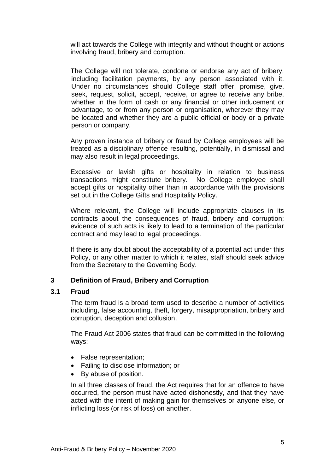will act towards the College with integrity and without thought or actions involving fraud, bribery and corruption.

The College will not tolerate, condone or endorse any act of bribery, including facilitation payments, by any person associated with it. Under no circumstances should College staff offer, promise, give, seek, request, solicit, accept, receive, or agree to receive any bribe, whether in the form of cash or any financial or other inducement or advantage, to or from any person or organisation, wherever they may be located and whether they are a public official or body or a private person or company.

Any proven instance of bribery or fraud by College employees will be treated as a disciplinary offence resulting, potentially, in dismissal and may also result in legal proceedings.

Excessive or lavish gifts or hospitality in relation to business transactions might constitute bribery. No College employee shall accept gifts or hospitality other than in accordance with the provisions set out in the College Gifts and Hospitality Policy.

Where relevant, the College will include appropriate clauses in its contracts about the consequences of fraud, bribery and corruption; evidence of such acts is likely to lead to a termination of the particular contract and may lead to legal proceedings.

If there is any doubt about the acceptability of a potential act under this Policy, or any other matter to which it relates, staff should seek advice from the Secretary to the Governing Body.

#### <span id="page-4-0"></span>**3 Definition of Fraud, Bribery and Corruption**

#### **3.1 Fraud**

The term fraud is a broad term used to describe a number of activities including, false accounting, theft, forgery, misappropriation, bribery and corruption, deception and collusion.

The Fraud Act 2006 states that fraud can be committed in the following ways:

- False representation;
- Failing to disclose information; or
- By abuse of position.

In all three classes of fraud, the Act requires that for an offence to have occurred, the person must have acted dishonestly, and that they have acted with the intent of making gain for themselves or anyone else, or inflicting loss (or risk of loss) on another.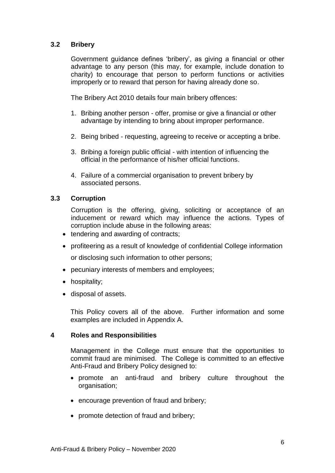#### **3.2 Bribery**

Government guidance defines 'bribery', as giving a financial or other advantage to any person (this may, for example, include donation to charity) to encourage that person to perform functions or activities improperly or to reward that person for having already done so.

The Bribery Act 2010 details four main bribery offences:

- 1. Bribing another person offer, promise or give a financial or other advantage by intending to bring about improper performance.
- 2. Being bribed requesting, agreeing to receive or accepting a bribe.
- 3. Bribing a foreign public official with intention of influencing the official in the performance of his/her official functions.
- 4. Failure of a commercial organisation to prevent bribery by associated persons.

#### **3.3 Corruption**

Corruption is the offering, giving, soliciting or acceptance of an inducement or reward which may influence the actions. Types of corruption include abuse in the following areas:

- tendering and awarding of contracts;
- profiteering as a result of knowledge of confidential College information or disclosing such information to other persons;
- pecuniary interests of members and employees;
- hospitality;
- disposal of assets.

This Policy covers all of the above. Further information and some examples are included in Appendix A.

#### <span id="page-5-0"></span>**4 Roles and Responsibilities**

Management in the College must ensure that the opportunities to commit fraud are minimised. The College is committed to an effective Anti-Fraud and Bribery Policy designed to:

- promote an anti-fraud and bribery culture throughout the organisation;
- encourage prevention of fraud and bribery;
- promote detection of fraud and bribery;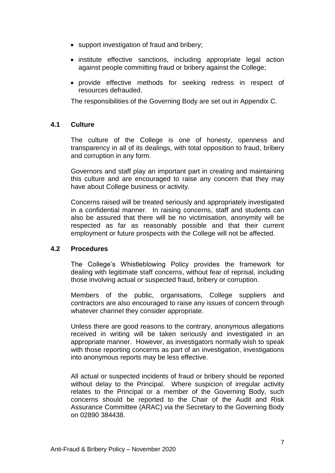- support investigation of fraud and bribery;
- institute effective sanctions, including appropriate legal action against people committing fraud or bribery against the College;
- provide effective methods for seeking redress in respect of resources defrauded.

The responsibilities of the Governing Body are set out in Appendix C.

#### **4.1 Culture**

The culture of the College is one of honesty, openness and transparency in all of its dealings, with total opposition to fraud, bribery and corruption in any form.

Governors and staff play an important part in creating and maintaining this culture and are encouraged to raise any concern that they may have about College business or activity.

Concerns raised will be treated seriously and appropriately investigated in a confidential manner. In raising concerns, staff and students can also be assured that there will be no victimisation, anonymity will be respected as far as reasonably possible and that their current employment or future prospects with the College will not be affected.

#### **4.2 Procedures**

The College's Whistleblowing Policy provides the framework for dealing with legitimate staff concerns, without fear of reprisal, including those involving actual or suspected fraud, bribery or corruption.

Members of the public, organisations, College suppliers and contractors are also encouraged to raise any issues of concern through whatever channel they consider appropriate.

Unless there are good reasons to the contrary, anonymous allegations received in writing will be taken seriously and investigated in an appropriate manner. However, as investigators normally wish to speak with those reporting concerns as part of an investigation, investigations into anonymous reports may be less effective.

All actual or suspected incidents of fraud or bribery should be reported without delay to the Principal. Where suspicion of irregular activity relates to the Principal or a member of the Governing Body, such concerns should be reported to the Chair of the Audit and Risk Assurance Committee (ARAC) via the Secretary to the Governing Body on 02890 384438.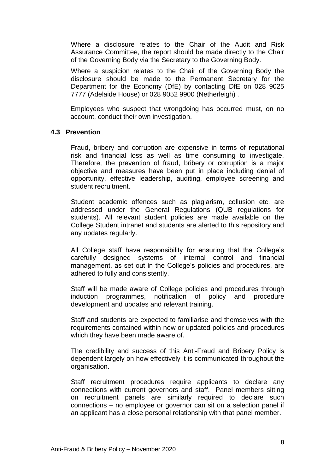Where a disclosure relates to the Chair of the Audit and Risk Assurance Committee, the report should be made directly to the Chair of the Governing Body via the Secretary to the Governing Body.

Where a suspicion relates to the Chair of the Governing Body the disclosure should be made to the Permanent Secretary for the Department for the Economy (DfE) by contacting DfE on 028 9025 7777 (Adelaide House) or 028 9052 9900 (Netherleigh) .

Employees who suspect that wrongdoing has occurred must, on no account, conduct their own investigation.

#### **4.3 Prevention**

Fraud, bribery and corruption are expensive in terms of reputational risk and financial loss as well as time consuming to investigate. Therefore, the prevention of fraud, bribery or corruption is a major objective and measures have been put in place including denial of opportunity, effective leadership, auditing, employee screening and student recruitment.

Student academic offences such as plagiarism, collusion etc. are addressed under the General Regulations (QUB regulations for students). All relevant student policies are made available on the College Student intranet and students are alerted to this repository and any updates regularly.

All College staff have responsibility for ensuring that the College's carefully designed systems of internal control and financial management, as set out in the College's policies and procedures, are adhered to fully and consistently.

Staff will be made aware of College policies and procedures through induction programmes, notification of policy and procedure development and updates and relevant training.

Staff and students are expected to familiarise and themselves with the requirements contained within new or updated policies and procedures which they have been made aware of.

The credibility and success of this Anti-Fraud and Bribery Policy is dependent largely on how effectively it is communicated throughout the organisation.

Staff recruitment procedures require applicants to declare any connections with current governors and staff. Panel members sitting on recruitment panels are similarly required to declare such connections – no employee or governor can sit on a selection panel if an applicant has a close personal relationship with that panel member.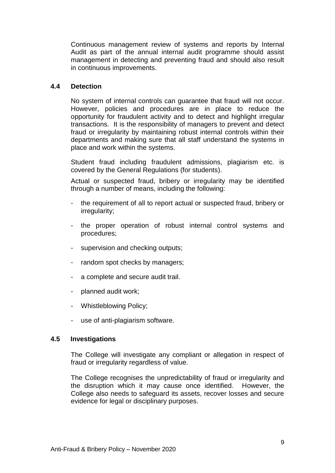Continuous management review of systems and reports by Internal Audit as part of the annual internal audit programme should assist management in detecting and preventing fraud and should also result in continuous improvements.

#### **4.4 Detection**

No system of internal controls can guarantee that fraud will not occur. However, policies and procedures are in place to reduce the opportunity for fraudulent activity and to detect and highlight irregular transactions. It is the responsibility of managers to prevent and detect fraud or irregularity by maintaining robust internal controls within their departments and making sure that all staff understand the systems in place and work within the systems.

Student fraud including fraudulent admissions, plagiarism etc. is covered by the General Regulations (for students).

Actual or suspected fraud, bribery or irregularity may be identified through a number of means, including the following:

- the requirement of all to report actual or suspected fraud, bribery or irregularity;
- the proper operation of robust internal control systems and procedures;
- supervision and checking outputs;
- random spot checks by managers;
- a complete and secure audit trail.
- planned audit work;
- Whistleblowing Policy;
- use of anti-plagiarism software.

#### **4.5 Investigations**

The College will investigate any compliant or allegation in respect of fraud or irregularity regardless of value.

The College recognises the unpredictability of fraud or irregularity and the disruption which it may cause once identified. However, the College also needs to safeguard its assets, recover losses and secure evidence for legal or disciplinary purposes.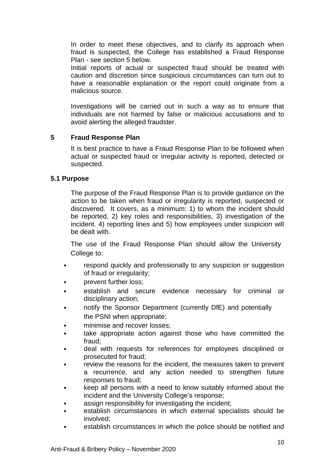In order to meet these objectives, and to clarify its approach when fraud is suspected, the College has established a Fraud Response Plan - see section 5 below.

Initial reports of actual or suspected fraud should be treated with caution and discretion since suspicious circumstances can turn out to have a reasonable explanation or the report could originate from a malicious source.

Investigations will be carried out in such a way as to ensure that individuals are not harmed by false or malicious accusations and to avoid alerting the alleged fraudster.

#### <span id="page-9-0"></span>**5 Fraud Response Plan**

It is best practice to have a Fraud Response Plan to be followed when actual or suspected fraud or irregular activity is reported, detected or suspected.

#### **5.1 Purpose**

The purpose of the Fraud Response Plan is to provide guidance on the action to be taken when fraud or irregularity is reported, suspected or discovered. It covers, as a minimum: 1) to whom the incident should be reported, 2) key roles and responsibilities, 3) investigation of the incident. 4) reporting lines and 5) how employees under suspicion will be dealt with.

The use of the Fraud Response Plan should allow the University College to:

- respond quickly and professionally to any suspicion or suggestion of fraud or irregularity;
- prevent further loss;
- establish and secure evidence necessary for criminal or disciplinary action;
- notify the Sponsor Department (currently DfE) and potentially the PSNI when appropriate;
- minimise and recover losses;
- take appropriate action against those who have committed the fraud;
- deal with requests for references for employees disciplined or prosecuted for fraud;
- review the reasons for the incident, the measures taken to prevent a recurrence, and any action needed to strengthen future responses to fraud;
- keep all persons with a need to know suitably informed about the incident and the University College's response;
- assign responsibility for investigating the incident:
- establish circumstances in which external specialists should be involved;
- establish circumstances in which the police should be notified and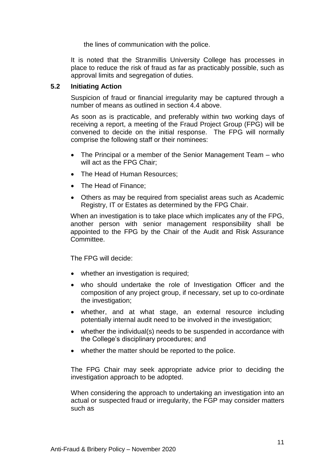the lines of communication with the police.

It is noted that the Stranmillis University College has processes in place to reduce the risk of fraud as far as practicably possible, such as approval limits and segregation of duties.

#### **5.2 Initiating Action**

Suspicion of fraud or financial irregularity may be captured through a number of means as outlined in section 4.4 above.

As soon as is practicable, and preferably within two working days of receiving a report, a meeting of the Fraud Project Group (FPG) will be convened to decide on the initial response. The FPG will normally comprise the following staff or their nominees:

- The Principal or a member of the Senior Management Team who will act as the FPG Chair;
- The Head of Human Resources;
- The Head of Finance:
- Others as may be required from specialist areas such as Academic Registry, IT or Estates as determined by the FPG Chair.

When an investigation is to take place which implicates any of the FPG, another person with senior management responsibility shall be appointed to the FPG by the Chair of the Audit and Risk Assurance Committee.

The FPG will decide:

- whether an investigation is required;
- who should undertake the role of Investigation Officer and the composition of any project group, if necessary, set up to co-ordinate the investigation;
- whether, and at what stage, an external resource including potentially internal audit need to be involved in the investigation;
- whether the individual(s) needs to be suspended in accordance with the College's disciplinary procedures; and
- whether the matter should be reported to the police.

The FPG Chair may seek appropriate advice prior to deciding the investigation approach to be adopted.

When considering the approach to undertaking an investigation into an actual or suspected fraud or irregularity, the FGP may consider matters such as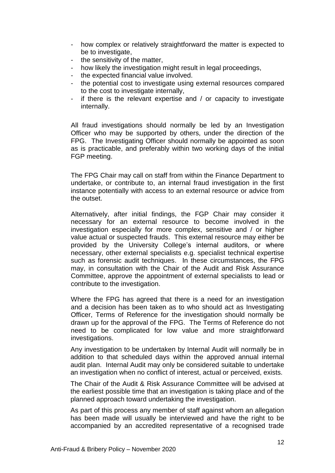- how complex or relatively straightforward the matter is expected to be to investigate,
- the sensitivity of the matter,
- how likely the investigation might result in legal proceedings,
- the expected financial value involved.
- the potential cost to investigate using external resources compared to the cost to investigate internally,
- if there is the relevant expertise and / or capacity to investigate internally.

All fraud investigations should normally be led by an Investigation Officer who may be supported by others, under the direction of the FPG. The Investigating Officer should normally be appointed as soon as is practicable, and preferably within two working days of the initial FGP meeting.

The FPG Chair may call on staff from within the Finance Department to undertake, or contribute to, an internal fraud investigation in the first instance potentially with access to an external resource or advice from the outset.

Alternatively, after initial findings, the FGP Chair may consider it necessary for an external resource to become involved in the investigation especially for more complex, sensitive and / or higher value actual or suspected frauds. This external resource may either be provided by the University College's internal auditors, or where necessary, other external specialists e.g. specialist technical expertise such as forensic audit techniques. In these circumstances, the FPG may, in consultation with the Chair of the Audit and Risk Assurance Committee, approve the appointment of external specialists to lead or contribute to the investigation.

Where the FPG has agreed that there is a need for an investigation and a decision has been taken as to who should act as Investigating Officer, Terms of Reference for the investigation should normally be drawn up for the approval of the FPG. The Terms of Reference do not need to be complicated for low value and more straightforward investigations.

Any investigation to be undertaken by Internal Audit will normally be in addition to that scheduled days within the approved annual internal audit plan. Internal Audit may only be considered suitable to undertake an investigation when no conflict of interest, actual or perceived, exists.

The Chair of the Audit & Risk Assurance Committee will be advised at the earliest possible time that an investigation is taking place and of the planned approach toward undertaking the investigation.

As part of this process any member of staff against whom an allegation has been made will usually be interviewed and have the right to be accompanied by an accredited representative of a recognised trade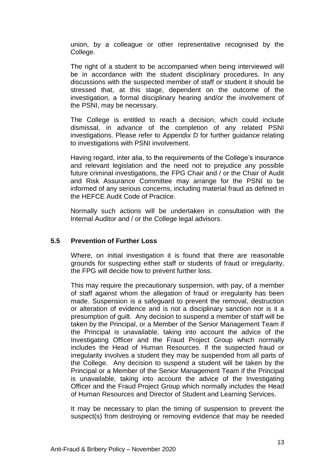union, by a colleague or other representative recognised by the College.

The right of a student to be accompanied when being interviewed will be in accordance with the student disciplinary procedures. In any discussions with the suspected member of staff or student it should be stressed that, at this stage, dependent on the outcome of the investigation, a formal disciplinary hearing and/or the involvement of the PSNI, may be necessary.

The College is entitled to reach a decision, which could include dismissal, in advance of the completion of any related PSNI investigations. Please refer to Appendix D for further guidance relating to investigations with PSNI involvement.

Having regard, inter alia, to the requirements of the College's insurance and relevant legislation and the need not to prejudice any possible future criminal investigations, the FPG Chair and / or the Chair of Audit and Risk Assurance Committee may arrange for the PSNI to be informed of any serious concerns, including material fraud as defined in the HEFCE Audit Code of Practice.

Normally such actions will be undertaken in consultation with the Internal Auditor and / or the College legal advisors.

#### **5.5 Prevention of Further Loss**

Where, on initial investigation it is found that there are reasonable grounds for suspecting either staff or students of fraud or irregularity, the FPG will decide how to prevent further loss.

This may require the precautionary suspension, with pay, of a member of staff against whom the allegation of fraud or irregularity has been made. Suspension is a safeguard to prevent the removal, destruction or alteration of evidence and is not a disciplinary sanction nor is it a presumption of guilt. Any decision to suspend a member of staff will be taken by the Principal, or a Member of the Senior Management Team if the Principal is unavailable, taking into account the advice of the Investigating Officer and the Fraud Project Group which normally includes the Head of Human Resources. If the suspected fraud or irregularity involves a student they may be suspended from all parts of the College. Any decision to suspend a student will be taken by the Principal or a Member of the Senior Management Team if the Principal is unavailable, taking into account the advice of the Investigating Officer and the Fraud Project Group which normally includes the Head of Human Resources and Director of Student and Learning Services.

It may be necessary to plan the timing of suspension to prevent the suspect(s) from destroying or removing evidence that may be needed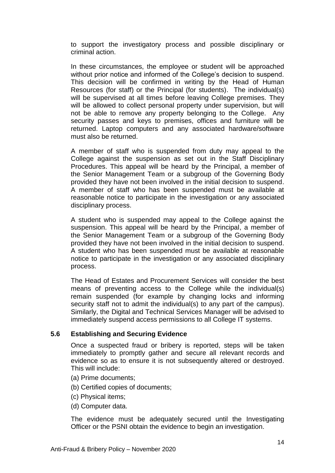to support the investigatory process and possible disciplinary or criminal action.

In these circumstances, the employee or student will be approached without prior notice and informed of the College's decision to suspend. This decision will be confirmed in writing by the Head of Human Resources (for staff) or the Principal (for students). The individual(s) will be supervised at all times before leaving College premises. They will be allowed to collect personal property under supervision, but will not be able to remove any property belonging to the College. Any security passes and keys to premises, offices and furniture will be returned. Laptop computers and any associated hardware/software must also be returned.

A member of staff who is suspended from duty may appeal to the College against the suspension as set out in the Staff Disciplinary Procedures. This appeal will be heard by the Principal, a member of the Senior Management Team or a subgroup of the Governing Body provided they have not been involved in the initial decision to suspend. A member of staff who has been suspended must be available at reasonable notice to participate in the investigation or any associated disciplinary process.

A student who is suspended may appeal to the College against the suspension. This appeal will be heard by the Principal, a member of the Senior Management Team or a subgroup of the Governing Body provided they have not been involved in the initial decision to suspend. A student who has been suspended must be available at reasonable notice to participate in the investigation or any associated disciplinary process.

The Head of Estates and Procurement Services will consider the best means of preventing access to the College while the individual(s) remain suspended (for example by changing locks and informing security staff not to admit the individual(s) to any part of the campus). Similarly, the Digital and Technical Services Manager will be advised to immediately suspend access permissions to all College IT systems.

#### **5.6 Establishing and Securing Evidence**

Once a suspected fraud or bribery is reported, steps will be taken immediately to promptly gather and secure all relevant records and evidence so as to ensure it is not subsequently altered or destroyed. This will include:

- (a) Prime documents;
- (b) Certified copies of documents;
- (c) Physical items;
- (d) Computer data.

The evidence must be adequately secured until the Investigating Officer or the PSNI obtain the evidence to begin an investigation.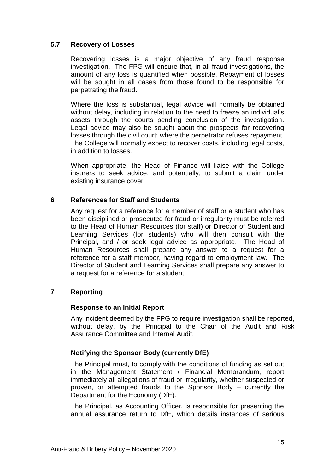#### **5.7 Recovery of Losses**

Recovering losses is a major objective of any fraud response investigation. The FPG will ensure that, in all fraud investigations, the amount of any loss is quantified when possible. Repayment of losses will be sought in all cases from those found to be responsible for perpetrating the fraud.

Where the loss is substantial, legal advice will normally be obtained without delay, including in relation to the need to freeze an individual's assets through the courts pending conclusion of the investigation. Legal advice may also be sought about the prospects for recovering losses through the civil court; where the perpetrator refuses repayment. The College will normally expect to recover costs, including legal costs, in addition to losses.

When appropriate, the Head of Finance will liaise with the College insurers to seek advice, and potentially, to submit a claim under existing insurance cover.

#### **6 References for Staff and Students**

<span id="page-14-0"></span>Any request for a reference for a member of staff or a student who has been disciplined or prosecuted for fraud or irregularity must be referred to the Head of Human Resources (for staff) or Director of Student and Learning Services (for students) who will then consult with the Principal, and / or seek legal advice as appropriate. The Head of Human Resources shall prepare any answer to a request for a reference for a staff member, having regard to employment law. The Director of Student and Learning Services shall prepare any answer to a request for a reference for a student.

#### <span id="page-14-1"></span>**7 Reporting**

#### **Response to an Initial Report**

Any incident deemed by the FPG to require investigation shall be reported, without delay, by the Principal to the Chair of the Audit and Risk Assurance Committee and Internal Audit.

#### **Notifying the Sponsor Body (currently DfE)**

The Principal must, to comply with the conditions of funding as set out in the Management Statement / Financial Memorandum, report immediately all allegations of fraud or irregularity, whether suspected or proven, or attempted frauds to the Sponsor Body – currently the Department for the Economy (DfE).

The Principal, as Accounting Officer, is responsible for presenting the annual assurance return to DfE, which details instances of serious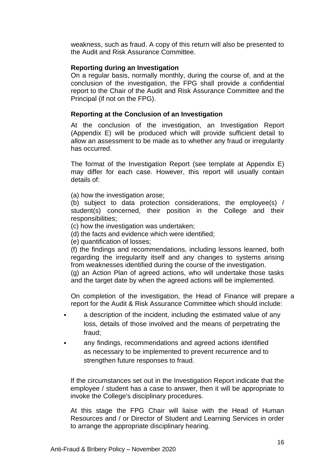weakness, such as fraud. A copy of this return will also be presented to the Audit and Risk Assurance Committee.

#### **Reporting during an Investigation**

On a regular basis, normally monthly, during the course of, and at the conclusion of the investigation, the FPG shall provide a confidential report to the Chair of the Audit and Risk Assurance Committee and the Principal (if not on the FPG).

#### **Reporting at the Conclusion of an Investigation**

At the conclusion of the investigation, an Investigation Report (Appendix E) will be produced which will provide sufficient detail to allow an assessment to be made as to whether any fraud or irregularity has occurred.

The format of the Investigation Report (see template at Appendix E) may differ for each case. However, this report will usually contain details of:

(a) how the investigation arose;

(b) subject to data protection considerations, the employee(s) / student(s) concerned, their position in the College and their responsibilities;

- (c) how the investigation was undertaken;
- (d) the facts and evidence which were identified;
- (e) quantification of losses;

(f) the findings and recommendations, including lessons learned, both regarding the irregularity itself and any changes to systems arising from weaknesses identified during the course of the investigation. (g) an Action Plan of agreed actions, who will undertake those tasks and the target date by when the agreed actions will be implemented.

On completion of the investigation, the Head of Finance will prepare a report for the Audit & Risk Assurance Committee which should include:

- a description of the incident, including the estimated value of any loss, details of those involved and the means of perpetrating the fraud;
- any findings, recommendations and agreed actions identified as necessary to be implemented to prevent recurrence and to strengthen future responses to fraud.

If the circumstances set out in the Investigation Report indicate that the employee / student has a case to answer, then it will be appropriate to invoke the College's disciplinary procedures.

At this stage the FPG Chair will liaise with the Head of Human Resources and / or Director of Student and Learning Services in order to arrange the appropriate disciplinary hearing.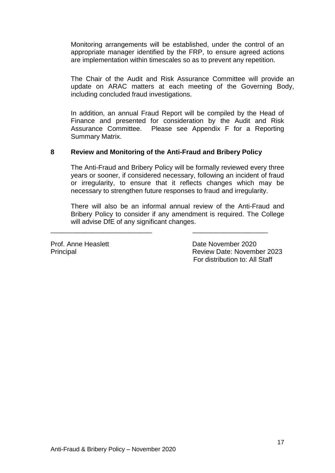Monitoring arrangements will be established, under the control of an appropriate manager identified by the FRP, to ensure agreed actions are implementation within timescales so as to prevent any repetition.

The Chair of the Audit and Risk Assurance Committee will provide an update on ARAC matters at each meeting of the Governing Body, including concluded fraud investigations.

In addition, an annual Fraud Report will be compiled by the Head of Finance and presented for consideration by the Audit and Risk Assurance Committee. Please see Appendix F for a Reporting Summary Matrix.

#### <span id="page-16-0"></span>**8 Review and Monitoring of the Anti-Fraud and Bribery Policy**

\_\_\_\_\_\_\_\_\_\_\_\_\_\_\_\_\_\_\_\_\_\_\_\_\_\_\_ \_\_\_\_\_\_\_\_\_\_\_\_\_\_\_\_\_\_\_\_

The Anti-Fraud and Bribery Policy will be formally reviewed every three years or sooner, if considered necessary, following an incident of fraud or irregularity, to ensure that it reflects changes which may be necessary to strengthen future responses to fraud and irregularity.

There will also be an informal annual review of the Anti-Fraud and Bribery Policy to consider if any amendment is required. The College will advise DfE of any significant changes.

Prof. Anne Heaslett **Date November 2020** Principal Review Date: November 2023 For distribution to: All Staff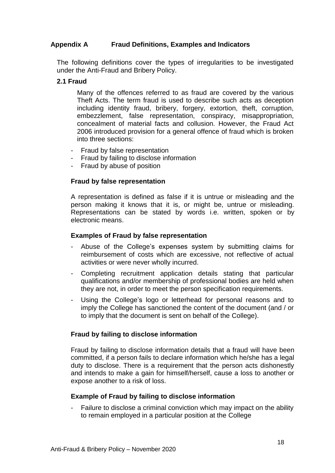#### <span id="page-17-0"></span>**Appendix A Fraud Definitions, Examples and Indicators**

The following definitions cover the types of irregularities to be investigated under the Anti-Fraud and Bribery Policy.

#### **2.1 Fraud**

Many of the offences referred to as fraud are covered by the various Theft Acts. The term fraud is used to describe such acts as deception including identity fraud, bribery, forgery, extortion, theft, corruption, embezzlement, false representation, conspiracy, misappropriation, concealment of material facts and collusion. However, the Fraud Act 2006 introduced provision for a general offence of fraud which is broken into three sections:

- Fraud by false representation
- Fraud by failing to disclose information
- Fraud by abuse of position

#### **Fraud by false representation**

A representation is defined as false if it is untrue or misleading and the person making it knows that it is, or might be, untrue or misleading. Representations can be stated by words i.e. written, spoken or by electronic means.

#### **Examples of Fraud by false representation**

- Abuse of the College's expenses system by submitting claims for reimbursement of costs which are excessive, not reflective of actual activities or were never wholly incurred.
- Completing recruitment application details stating that particular qualifications and/or membership of professional bodies are held when they are not, in order to meet the person specification requirements.
- Using the College's logo or letterhead for personal reasons and to imply the College has sanctioned the content of the document (and / or to imply that the document is sent on behalf of the College).

#### **Fraud by failing to disclose information**

Fraud by failing to disclose information details that a fraud will have been committed, if a person fails to declare information which he/she has a legal duty to disclose. There is a requirement that the person acts dishonestly and intends to make a gain for himself/herself, cause a loss to another or expose another to a risk of loss.

#### **Example of Fraud by failing to disclose information**

Failure to disclose a criminal conviction which may impact on the ability to remain employed in a particular position at the College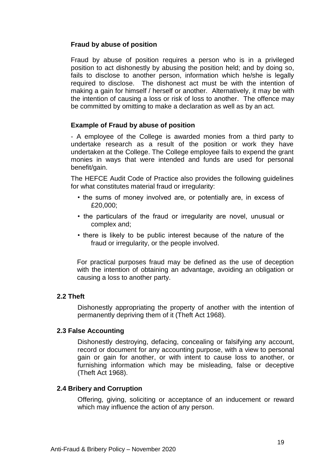#### **Fraud by abuse of position**

Fraud by abuse of position requires a person who is in a privileged position to act dishonestly by abusing the position held; and by doing so, fails to disclose to another person, information which he/she is legally required to disclose. The dishonest act must be with the intention of making a gain for himself / herself or another. Alternatively, it may be with the intention of causing a loss or risk of loss to another. The offence may be committed by omitting to make a declaration as well as by an act.

#### **Example of Fraud by abuse of position**

- A employee of the College is awarded monies from a third party to undertake research as a result of the position or work they have undertaken at the College. The College employee fails to expend the grant monies in ways that were intended and funds are used for personal benefit/gain.

The HEFCE Audit Code of Practice also provides the following guidelines for what constitutes material fraud or irregularity:

- the sums of money involved are, or potentially are, in excess of £20,000;
- the particulars of the fraud or irregularity are novel, unusual or complex and;
- there is likely to be public interest because of the nature of the fraud or irregularity, or the people involved.

For practical purposes fraud may be defined as the use of deception with the intention of obtaining an advantage, avoiding an obligation or causing a loss to another party.

#### **2.2 Theft**

Dishonestly appropriating the property of another with the intention of permanently depriving them of it (Theft Act 1968).

#### **2.3 False Accounting**

Dishonestly destroying, defacing, concealing or falsifying any account, record or document for any accounting purpose, with a view to personal gain or gain for another, or with intent to cause loss to another, or furnishing information which may be misleading, false or deceptive (Theft Act 1968).

#### **2.4 Bribery and Corruption**

Offering, giving, soliciting or acceptance of an inducement or reward which may influence the action of any person.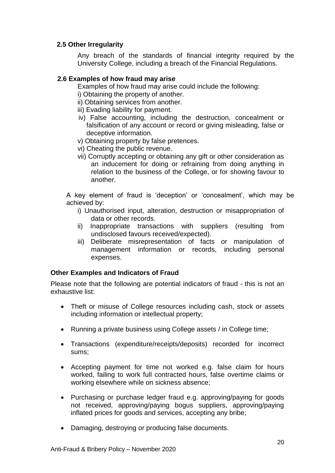#### **2.5 Other Irregularity**

Any breach of the standards of financial integrity required by the University College, including a breach of the Financial Regulations.

#### **2.6 Examples of how fraud may arise**

Examples of how fraud may arise could include the following:

- i) Obtaining the property of another.
- ii) Obtaining services from another.
- iii) Evading liability for payment.
- iv) False accounting, including the destruction, concealment or falsification of any account or record or giving misleading, false or deceptive information.
- v) Obtaining property by false pretences.
- vi) Cheating the public revenue.
- vii) Corruptly accepting or obtaining any gift or other consideration as an inducement for doing or refraining from doing anything in relation to the business of the College, or for showing favour to another.

A key element of fraud is 'deception' or 'concealment', which may be achieved by:

- i) Unauthorised input, alteration, destruction or misappropriation of data or other records.
- ii) Inappropriate transactions with suppliers (resulting from undisclosed favours received/expected).
- iii) Deliberate misrepresentation of facts or manipulation of management information or records, including personal expenses.

#### **Other Examples and Indicators of Fraud**

Please note that the following are potential indicators of fraud - this is not an exhaustive list:

- Theft or misuse of College resources including cash, stock or assets including information or intellectual property;
- Running a private business using College assets / in College time;
- Transactions (expenditure/receipts/deposits) recorded for incorrect sums;
- Accepting payment for time not worked e.g. false claim for hours worked, failing to work full contracted hours, false overtime claims or working elsewhere while on sickness absence;
- Purchasing or purchase ledger fraud e.g. approving/paying for goods not received, approving/paying bogus suppliers, approving/paying inflated prices for goods and services, accepting any bribe;
- Damaging, destroying or producing false documents.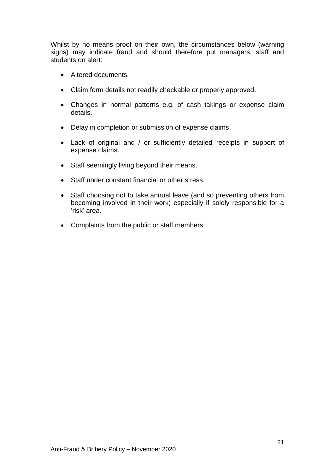Whilst by no means proof on their own, the circumstances below (warning signs) may indicate fraud and should therefore put managers, staff and students on alert:

- Altered documents.
- Claim form details not readily checkable or properly approved.
- Changes in normal patterns e.g. of cash takings or expense claim details.
- Delay in completion or submission of expense claims.
- Lack of original and / or sufficiently detailed receipts in support of expense claims.
- Staff seemingly living beyond their means.
- Staff under constant financial or other stress.
- Staff choosing not to take annual leave (and so preventing others from becoming involved in their work) especially if solely responsible for a 'risk' area.
- Complaints from the public or staff members.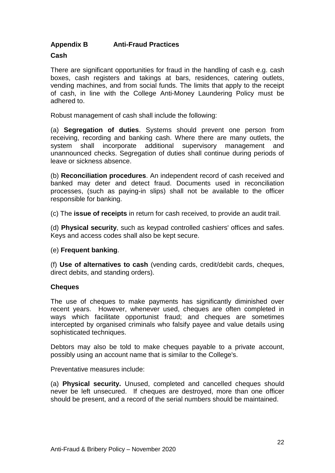#### <span id="page-21-0"></span>**Appendix B Anti-Fraud Practices**

#### **Cash**

There are significant opportunities for fraud in the handling of cash e.g. cash boxes, cash registers and takings at bars, residences, catering outlets, vending machines, and from social funds. The limits that apply to the receipt of cash, in line with the College Anti-Money Laundering Policy must be adhered to.

Robust management of cash shall include the following:

(a) **Segregation of duties**. Systems should prevent one person from receiving, recording and banking cash. Where there are many outlets, the system shall incorporate additional supervisory management and unannounced checks. Segregation of duties shall continue during periods of leave or sickness absence.

(b) **Reconciliation procedures**. An independent record of cash received and banked may deter and detect fraud. Documents used in reconciliation processes, (such as paying-in slips) shall not be available to the officer responsible for banking.

(c) The **issue of receipts** in return for cash received, to provide an audit trail.

(d) **Physical security**, such as keypad controlled cashiers' offices and safes. Keys and access codes shall also be kept secure.

#### (e) **Frequent banking**.

(f) **Use of alternatives to cash** (vending cards, credit/debit cards, cheques, direct debits, and standing orders).

#### **Cheques**

The use of cheques to make payments has significantly diminished over recent years. However, whenever used, cheques are often completed in ways which facilitate opportunist fraud; and cheques are sometimes intercepted by organised criminals who falsify payee and value details using sophisticated techniques.

Debtors may also be told to make cheques payable to a private account, possibly using an account name that is similar to the College's.

Preventative measures include:

(a) **Physical security.** Unused, completed and cancelled cheques should never be left unsecured. If cheques are destroyed, more than one officer should be present, and a record of the serial numbers should be maintained.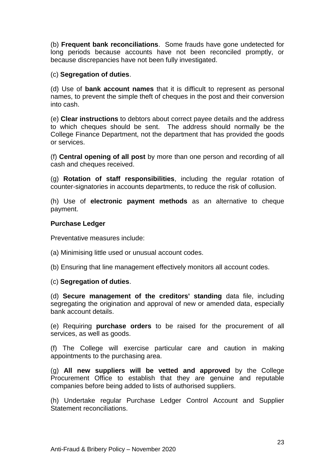(b) **Frequent bank reconciliations**. Some frauds have gone undetected for long periods because accounts have not been reconciled promptly, or because discrepancies have not been fully investigated.

#### (c) **Segregation of duties**.

(d) Use of **bank account names** that it is difficult to represent as personal names, to prevent the simple theft of cheques in the post and their conversion into cash.

(e) **Clear instructions** to debtors about correct payee details and the address to which cheques should be sent. The address should normally be the College Finance Department, not the department that has provided the goods or services.

(f) **Central opening of all post** by more than one person and recording of all cash and cheques received.

(g) **Rotation of staff responsibilities**, including the regular rotation of counter-signatories in accounts departments, to reduce the risk of collusion.

(h) Use of **electronic payment methods** as an alternative to cheque payment.

#### **Purchase Ledger**

Preventative measures include:

- (a) Minimising little used or unusual account codes.
- (b) Ensuring that line management effectively monitors all account codes.

#### (c) **Segregation of duties**.

(d) **Secure management of the creditors' standing** data file, including segregating the origination and approval of new or amended data, especially bank account details.

(e) Requiring **purchase orders** to be raised for the procurement of all services, as well as goods.

(f) The College will exercise particular care and caution in making appointments to the purchasing area.

(g) **All new suppliers will be vetted and approved** by the College Procurement Office to establish that they are genuine and reputable companies before being added to lists of authorised suppliers.

(h) Undertake regular Purchase Ledger Control Account and Supplier Statement reconciliations.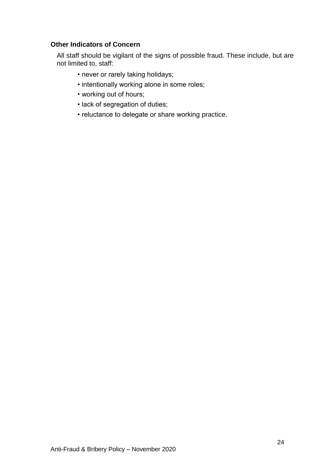#### **Other Indicators of Concern**

All staff should be vigilant of the signs of possible fraud. These include, but are not limited to, staff:

- never or rarely taking holidays;
- intentionally working alone in some roles;
- working out of hours;
- lack of segregation of duties;
- reluctance to delegate or share working practice.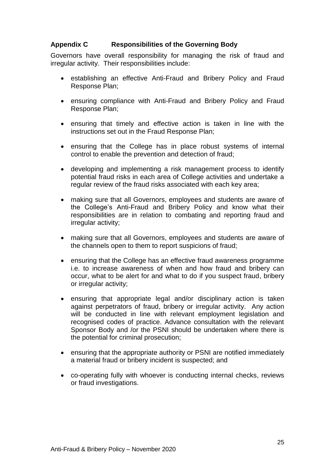#### <span id="page-24-0"></span>**Appendix C Responsibilities of the Governing Body**

Governors have overall responsibility for managing the risk of fraud and irregular activity. Their responsibilities include:

- establishing an effective Anti-Fraud and Bribery Policy and Fraud Response Plan;
- ensuring compliance with Anti-Fraud and Bribery Policy and Fraud Response Plan;
- ensuring that timely and effective action is taken in line with the instructions set out in the Fraud Response Plan;
- ensuring that the College has in place robust systems of internal control to enable the prevention and detection of fraud;
- developing and implementing a risk management process to identify potential fraud risks in each area of College activities and undertake a regular review of the fraud risks associated with each key area;
- making sure that all Governors, employees and students are aware of the College's Anti-Fraud and Bribery Policy and know what their responsibilities are in relation to combating and reporting fraud and irregular activity;
- making sure that all Governors, employees and students are aware of the channels open to them to report suspicions of fraud;
- ensuring that the College has an effective fraud awareness programme i.e. to increase awareness of when and how fraud and bribery can occur, what to be alert for and what to do if you suspect fraud, bribery or irregular activity;
- ensuring that appropriate legal and/or disciplinary action is taken against perpetrators of fraud, bribery or irregular activity. Any action will be conducted in line with relevant employment legislation and recognised codes of practice. Advance consultation with the relevant Sponsor Body and /or the PSNI should be undertaken where there is the potential for criminal prosecution;
- ensuring that the appropriate authority or PSNI are notified immediately a material fraud or bribery incident is suspected; and
- co-operating fully with whoever is conducting internal checks, reviews or fraud investigations.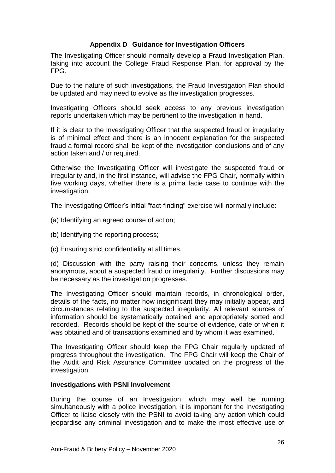#### **Appendix D Guidance for Investigation Officers**

The Investigating Officer should normally develop a Fraud Investigation Plan, taking into account the College Fraud Response Plan, for approval by the FPG.

Due to the nature of such investigations, the Fraud Investigation Plan should be updated and may need to evolve as the investigation progresses.

Investigating Officers should seek access to any previous investigation reports undertaken which may be pertinent to the investigation in hand.

If it is clear to the Investigating Officer that the suspected fraud or irregularity is of minimal effect and there is an innocent explanation for the suspected fraud a formal record shall be kept of the investigation conclusions and of any action taken and / or required.

Otherwise the Investigating Officer will investigate the suspected fraud or irregularity and, in the first instance, will advise the FPG Chair, normally within five working days, whether there is a prima facie case to continue with the investigation.

The Investigating Officer's initial "fact-finding" exercise will normally include:

- (a) Identifying an agreed course of action;
- (b) Identifying the reporting process;
- (c) Ensuring strict confidentiality at all times.

(d) Discussion with the party raising their concerns, unless they remain anonymous, about a suspected fraud or irregularity. Further discussions may be necessary as the investigation progresses.

The Investigating Officer should maintain records, in chronological order, details of the facts, no matter how insignificant they may initially appear, and circumstances relating to the suspected irregularity. All relevant sources of information should be systematically obtained and appropriately sorted and recorded. Records should be kept of the source of evidence, date of when it was obtained and of transactions examined and by whom it was examined.

The Investigating Officer should keep the FPG Chair regularly updated of progress throughout the investigation. The FPG Chair will keep the Chair of the Audit and Risk Assurance Committee updated on the progress of the investigation.

#### **Investigations with PSNI Involvement**

During the course of an Investigation, which may well be running simultaneously with a police investigation, it is important for the Investigating Officer to liaise closely with the PSNI to avoid taking any action which could jeopardise any criminal investigation and to make the most effective use of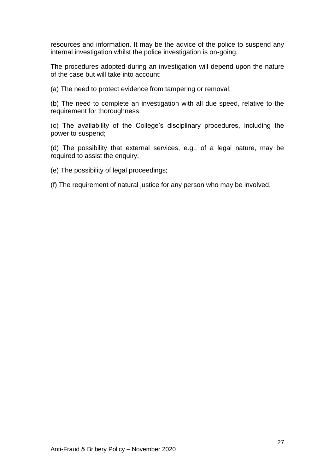resources and information. It may be the advice of the police to suspend any internal investigation whilst the police investigation is on-going.

The procedures adopted during an investigation will depend upon the nature of the case but will take into account:

(a) The need to protect evidence from tampering or removal;

(b) The need to complete an investigation with all due speed, relative to the requirement for thoroughness;

(c) The availability of the College's disciplinary procedures, including the power to suspend;

(d) The possibility that external services, e.g., of a legal nature, may be required to assist the enquiry;

(e) The possibility of legal proceedings;

(f) The requirement of natural justice for any person who may be involved.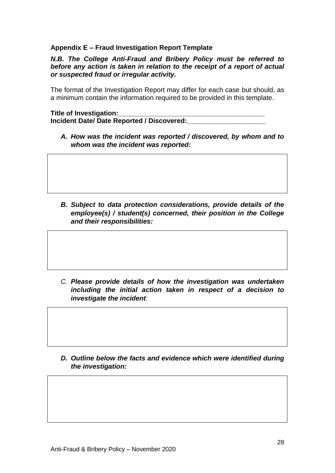#### **Appendix E – Fraud Investigation Report Template**

*N.B. The College Anti-Fraud and Bribery Policy must be referred to before any action is taken in relation to the receipt of a report of actual or suspected fraud or irregular activity.* 

The format of the Investigation Report may differ for each case but should, as a minimum contain the information required to be provided in this template.

#### **Title of Investigation:\_\_\_\_\_\_\_\_\_\_\_\_\_\_\_\_\_\_\_\_\_\_\_\_\_\_\_\_\_\_\_\_\_\_\_\_\_\_\_**

**Incident Date/ Date Reported / Discovered:\_\_\_\_\_\_\_\_\_\_\_\_\_\_\_\_\_\_\_\_\_**

*A. How was the incident was reported / discovered, by whom and to whom was the incident was reported:* 

*B. Subject to data protection considerations, provide details of the employee(s) / student(s) concerned, their position in the College and their responsibilities:*

*C. Please provide details of how the investigation was undertaken including the initial action taken in respect of a decision to investigate the incident:*

*D. Outline below the facts and evidence which were identified during the investigation:*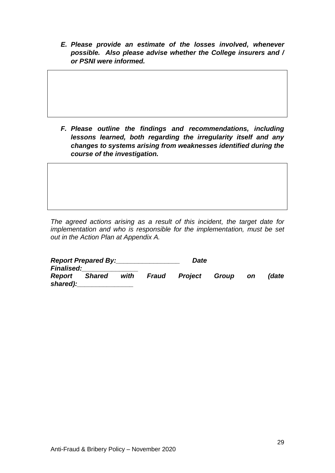*E. Please provide an estimate of the losses involved, whenever possible. Also please advise whether the College insurers and / or PSNI were informed.*

*F. Please outline the findings and recommendations, including lessons learned, both regarding the irregularity itself and any changes to systems arising from weaknesses identified during the course of the investigation.*

*The agreed actions arising as a result of this incident, the target date for implementation and who is responsible for the implementation, must be set out in the Action Plan at Appendix A.*

| <b>Report Prepared By:</b> |        |      |       |                      |  |           |       |
|----------------------------|--------|------|-------|----------------------|--|-----------|-------|
| <b>Finalised:</b>          |        |      |       |                      |  |           |       |
| Report<br>shared):         | Shared | with | Fraud | <b>Project Group</b> |  | <b>on</b> | (date |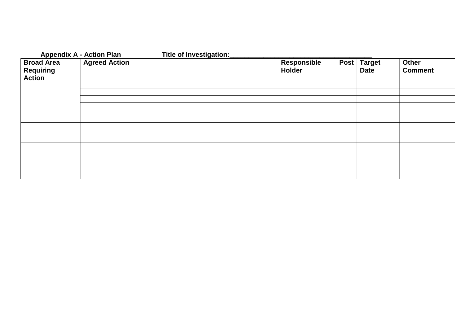### **Appendix A - Action Plan Title of Investigation:\_\_\_\_\_\_\_\_\_\_\_\_\_\_\_\_\_\_\_\_\_\_\_\_\_\_\_\_\_\_\_\_\_\_\_\_\_\_**

| <b>Broad Area</b><br><b>Requiring</b><br><b>Action</b> | <b>Agreed Action</b> | Responsible<br>Holder | Post   Target<br><b>Date</b> | Other<br><b>Comment</b> |
|--------------------------------------------------------|----------------------|-----------------------|------------------------------|-------------------------|
|                                                        |                      |                       |                              |                         |
|                                                        |                      |                       |                              |                         |
|                                                        |                      |                       |                              |                         |
|                                                        |                      |                       |                              |                         |
|                                                        |                      |                       |                              |                         |
|                                                        |                      |                       |                              |                         |
|                                                        |                      |                       |                              |                         |
|                                                        |                      |                       |                              |                         |
|                                                        |                      |                       |                              |                         |
|                                                        |                      |                       |                              |                         |
|                                                        |                      |                       |                              |                         |
|                                                        |                      |                       |                              |                         |
|                                                        |                      |                       |                              |                         |
|                                                        |                      |                       |                              |                         |
|                                                        |                      |                       |                              |                         |